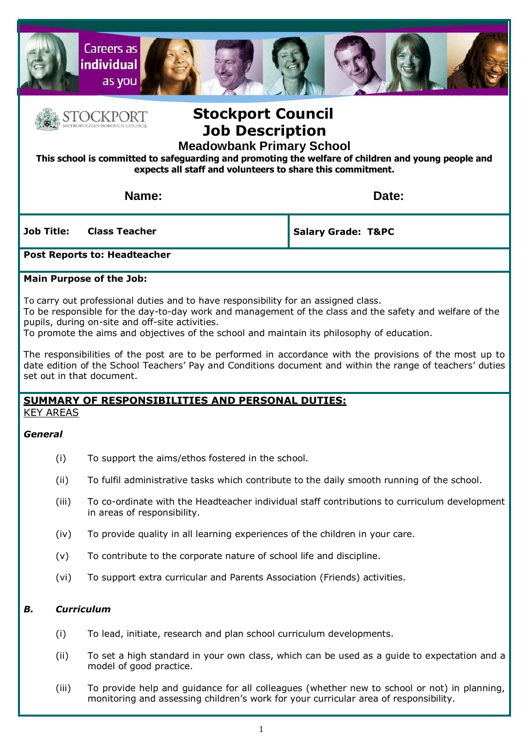



# **Stockport Council Job Description**

**Meadowbank Primary School** 

**This school is committed to safeguarding and promoting the welfare of children and young people and expects all staff and volunteers to share this commitment.**

**Name: Date:** 

**Job Title: Class Teacher**

**Salary Grade: T&PC**

### **Post Reports to: Headteacher**

### **Main Purpose of the Job:**

To carry out professional duties and to have responsibility for an assigned class.

To be responsible for the day-to-day work and management of the class and the safety and welfare of the pupils, during on-site and off-site activities.

To promote the aims and objectives of the school and maintain its philosophy of education.

The responsibilities of the post are to be performed in accordance with the provisions of the most up to date edition of the School Teachers' Pay and Conditions document and within the range of teachers' duties set out in that document.

## **SUMMARY OF RESPONSIBILITIES AND PERSONAL DUTIES:**

KEY AREAS

### *General*

- (i) To support the aims/ethos fostered in the school.
- (ii) To fulfil administrative tasks which contribute to the daily smooth running of the school.
- (iii) To co-ordinate with the Headteacher individual staff contributions to curriculum development in areas of responsibility.
- (iv) To provide quality in all learning experiences of the children in your care.
- (v) To contribute to the corporate nature of school life and discipline.
- (vi) To support extra curricular and Parents Association (Friends) activities.

### *B. Curriculum*

- (i) To lead, initiate, research and plan school curriculum developments.
- (ii) To set a high standard in your own class, which can be used as a guide to expectation and a model of good practice.
- (iii) To provide help and guidance for all colleagues (whether new to school or not) in planning, monitoring and assessing children's work for your curricular area of responsibility.